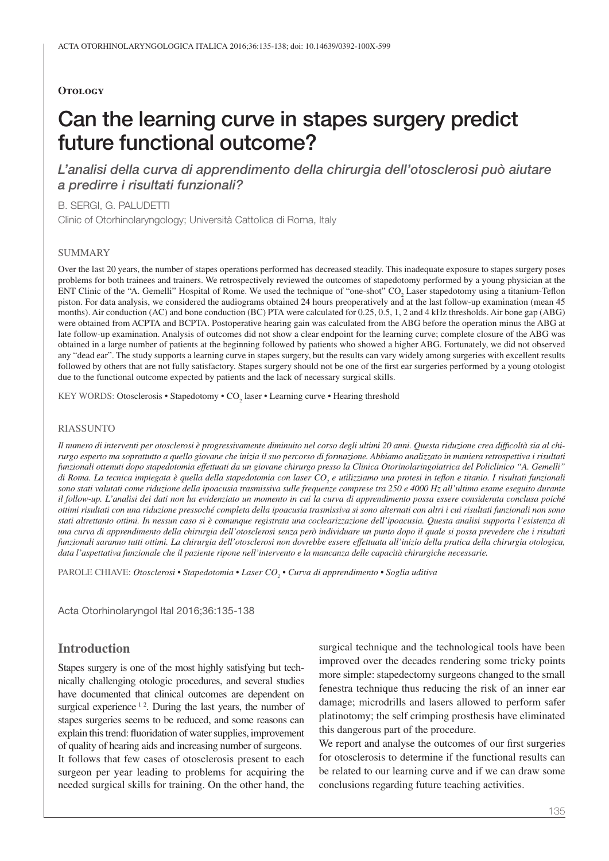## **Otology**

# Can the learning curve in stapes surgery predict future functional outcome?

*L'analisi della curva di apprendimento della chirurgia dell'otosclerosi può aiutare a predirre i risultati funzionali?*

B. SERGI, G. PALUDETTI

Clinic of Otorhinolaryngology; Università Cattolica di Roma, Italy

#### **SUMMARY**

Over the last 20 years, the number of stapes operations performed has decreased steadily. This inadequate exposure to stapes surgery poses problems for both trainees and trainers. We retrospectively reviewed the outcomes of stapedotomy performed by a young physician at the ENT Clinic of the "A. Gemelli" Hospital of Rome. We used the technique of "one-shot" CO<sub>2</sub> Laser stapedotomy using a titanium-Teflon piston. For data analysis, we considered the audiograms obtained 24 hours preoperatively and at the last follow-up examination (mean 45 months). Air conduction (AC) and bone conduction (BC) PTA were calculated for 0.25, 0.5, 1, 2 and 4 kHz thresholds. Air bone gap (ABG) were obtained from ACPTA and BCPTA. Postoperative hearing gain was calculated from the ABG before the operation minus the ABG at late follow-up examination. Analysis of outcomes did not show a clear endpoint for the learning curve; complete closure of the ABG was obtained in a large number of patients at the beginning followed by patients who showed a higher ABG. Fortunately, we did not observed any "dead ear". The study supports a learning curve in stapes surgery, but the results can vary widely among surgeries with excellent results followed by others that are not fully satisfactory. Stapes surgery should not be one of the first ear surgeries performed by a young otologist due to the functional outcome expected by patients and the lack of necessary surgical skills.

KEY WORDS: Otosclerosis • Stapedotomy • CO<sub>2</sub> laser • Learning curve • Hearing threshold

#### **RIASSUNTO**

*Il numero di interventi per otosclerosi è progressivamente diminuito nel corso degli ultimi 20 anni. Questa riduzione crea difficoltà sia al chirurgo esperto ma soprattutto a quello giovane che inizia il suo percorso di formazione. Abbiamo analizzato in maniera retrospettiva i risultati funzionali ottenuti dopo stapedotomia effettuati da un giovane chirurgo presso la Clinica Otorinolaringoiatrica del Policlinico "A. Gemelli"*  di Roma. La tecnica impiegata è quella della stapedotomia con laser CO<sub>2</sub> e utilizziamo una protesi in teflon e titanio. I risultati funzionali *sono stati valutati come riduzione della ipoacusia trasmissiva sulle frequenze comprese tra 250 e 4000 Hz all'ultimo esame eseguito durante il follow-up. L'analisi dei dati non ha evidenziato un momento in cui la curva di apprendimento possa essere considerata conclusa poiché ottimi risultati con una riduzione pressoché completa della ipoacusia trasmissiva si sono alternati con altri i cui risultati funzionali non sono stati altrettanto ottimi. In nessun caso si è comunque registrata una coclearizzazione dell'ipoacusia. Questa analisi supporta l'esistenza di una curva di apprendimento della chirurgia dell'otosclerosi senza però individuare un punto dopo il quale si possa prevedere che i risultati funzionali saranno tutti ottimi. La chirurgia dell'otosclerosi non dovrebbe essere effettuata all'inizio della pratica della chirurgia otologica, data l'aspettativa funzionale che il paziente ripone nell'intervento e la mancanza delle capacità chirurgiche necessarie.*

Parole chiave: *Otosclerosi • Stapedotomia • Laser CO<sup>2</sup> • Curva di apprendimento • Soglia uditiva*

Acta Otorhinolaryngol Ital 2016;36:135-138

# **Introduction**

Stapes surgery is one of the most highly satisfying but technically challenging otologic procedures, and several studies have documented that clinical outcomes are dependent on surgical experience  $12$ . During the last years, the number of stapes surgeries seems to be reduced, and some reasons can explain this trend: fluoridation of water supplies, improvement of quality of hearing aids and increasing number of surgeons. It follows that few cases of otosclerosis present to each surgeon per year leading to problems for acquiring the needed surgical skills for training. On the other hand, the

surgical technique and the technological tools have been improved over the decades rendering some tricky points more simple: stapedectomy surgeons changed to the small fenestra technique thus reducing the risk of an inner ear damage; microdrills and lasers allowed to perform safer platinotomy; the self crimping prosthesis have eliminated this dangerous part of the procedure.

We report and analyse the outcomes of our first surgeries for otosclerosis to determine if the functional results can be related to our learning curve and if we can draw some conclusions regarding future teaching activities.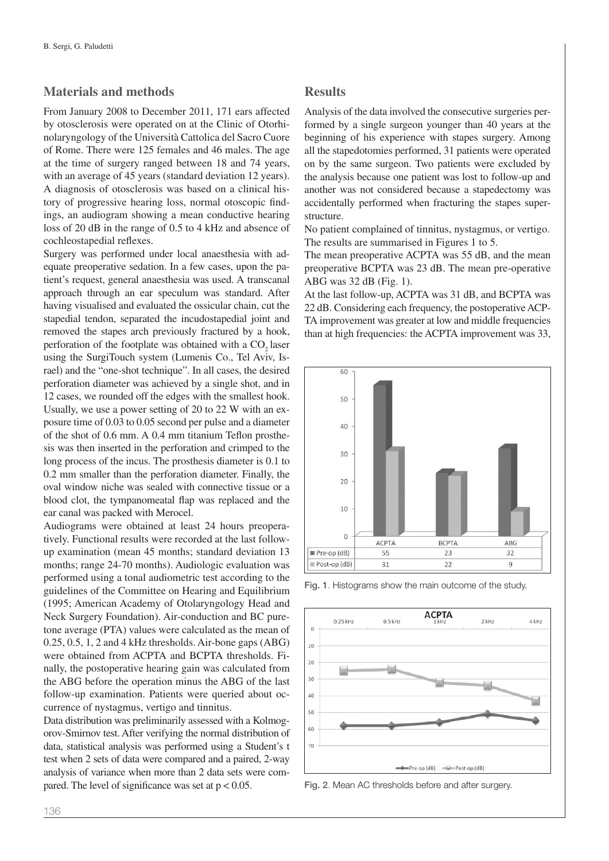# **Materials and methods**

From January 2008 to December 2011, 171 ears affected by otosclerosis were operated on at the Clinic of Otorhinolaryngology of the Università Cattolica del Sacro Cuore of Rome. There were 125 females and 46 males. The age at the time of surgery ranged between 18 and 74 years, with an average of 45 years (standard deviation 12 years). A diagnosis of otosclerosis was based on a clinical history of progressive hearing loss, normal otoscopic findings, an audiogram showing a mean conductive hearing loss of 20 dB in the range of 0.5 to 4 kHz and absence of cochleostapedial reflexes.

Surgery was performed under local anaesthesia with adequate preoperative sedation. In a few cases, upon the patient's request, general anaesthesia was used. A transcanal approach through an ear speculum was standard. After having visualised and evaluated the ossicular chain, cut the stapedial tendon, separated the incudostapedial joint and removed the stapes arch previously fractured by a hook, perforation of the footplate was obtained with a CO<sub>2</sub> laser using the SurgiTouch system (Lumenis Co., Tel Aviv, Israel) and the "one-shot technique". In all cases, the desired perforation diameter was achieved by a single shot, and in 12 cases, we rounded off the edges with the smallest hook. Usually, we use a power setting of 20 to 22 W with an exposure time of 0.03 to 0.05 second per pulse and a diameter of the shot of 0.6 mm. A 0.4 mm titanium Teflon prosthesis was then inserted in the perforation and crimped to the long process of the incus. The prosthesis diameter is 0.1 to 0.2 mm smaller than the perforation diameter. Finally, the oval window niche was sealed with connective tissue or a blood clot, the tympanomeatal flap was replaced and the ear canal was packed with Merocel.

Audiograms were obtained at least 24 hours preoperatively. Functional results were recorded at the last followup examination (mean 45 months; standard deviation 13 months; range 24-70 months). Audiologic evaluation was performed using a tonal audiometric test according to the guidelines of the Committee on Hearing and Equilibrium (1995; American Academy of Otolaryngology Head and Neck Surgery Foundation). Air-conduction and BC puretone average (PTA) values were calculated as the mean of 0.25, 0.5, 1, 2 and 4 kHz thresholds. Air-bone gaps (ABG) were obtained from ACPTA and BCPTA thresholds. Finally, the postoperative hearing gain was calculated from the ABG before the operation minus the ABG of the last follow-up examination. Patients were queried about occurrence of nystagmus, vertigo and tinnitus.

Data distribution was preliminarily assessed with a Kolmogorov-Smirnov test. After verifying the normal distribution of data, statistical analysis was performed using a Student's t test when 2 sets of data were compared and a paired, 2-way analysis of variance when more than 2 data sets were compared. The level of significance was set at  $p < 0.05$ .

## **Results**

Analysis of the data involved the consecutive surgeries performed by a single surgeon younger than 40 years at the beginning of his experience with stapes surgery. Among all the stapedotomies performed, 31 patients were operated on by the same surgeon. Two patients were excluded by the analysis because one patient was lost to follow-up and another was not considered because a stapedectomy was accidentally performed when fracturing the stapes superstructure.

No patient complained of tinnitus, nystagmus, or vertigo. The results are summarised in Figures 1 to 5.

The mean preoperative ACPTA was 55 dB, and the mean preoperative BCPTA was 23 dB. The mean pre-operative ABG was 32 dB (Fig. 1).

At the last follow-up, ACPTA was 31 dB, and BCPTA was 22 dB. Considering each frequency, the postoperative ACP-TA improvement was greater at low and middle frequencies than at high frequencies: the ACPTA improvement was 33,



Fig. 1. Histograms show the main outcome of the study.



Fig. 2. Mean AC thresholds before and after surgery.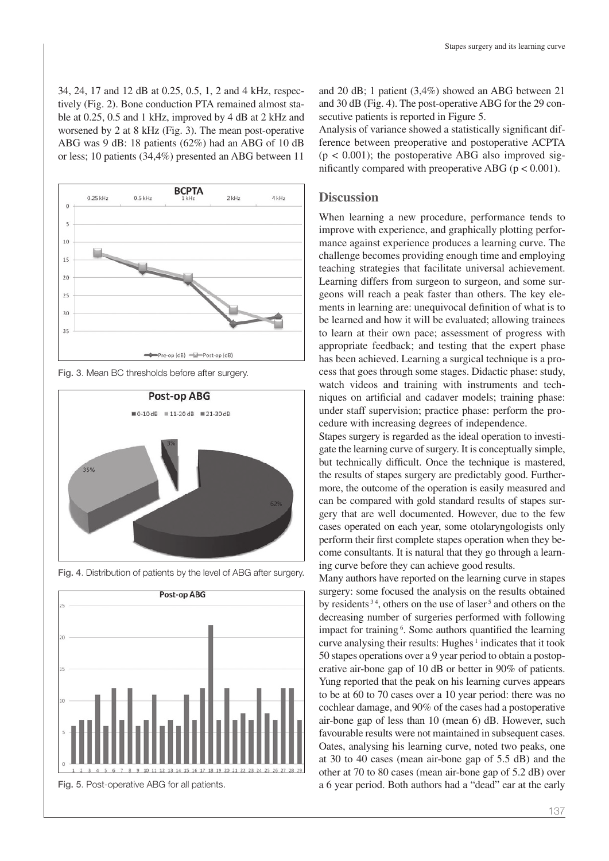34, 24, 17 and 12 dB at 0.25, 0.5, 1, 2 and 4 kHz, respectively (Fig. 2). Bone conduction PTA remained almost stable at 0.25, 0.5 and 1 kHz, improved by 4 dB at 2 kHz and worsened by 2 at 8 kHz (Fig. 3). The mean post-operative ABG was 9 dB: 18 patients (62%) had an ABG of 10 dB or less; 10 patients (34,4%) presented an ABG between 11



Fig. 3. Mean BC thresholds before after surgery.



Fig. 4. Distribution of patients by the level of ABG after surgery.



Fig. 5. Post-operative ABG for all patients.

and 20 dB; 1 patient (3,4%) showed an ABG between 21 and 30 dB (Fig. 4). The post-operative ABG for the 29 consecutive patients is reported in Figure 5.

Analysis of variance showed a statistically significant difference between preoperative and postoperative ACPTA  $(p < 0.001)$ ; the postoperative ABG also improved significantly compared with preoperative ABG ( $p < 0.001$ ).

# **Discussion**

When learning a new procedure, performance tends to improve with experience, and graphically plotting performance against experience produces a learning curve. The challenge becomes providing enough time and employing teaching strategies that facilitate universal achievement. Learning differs from surgeon to surgeon, and some surgeons will reach a peak faster than others. The key elements in learning are: unequivocal definition of what is to be learned and how it will be evaluated; allowing trainees to learn at their own pace; assessment of progress with appropriate feedback; and testing that the expert phase has been achieved. Learning a surgical technique is a process that goes through some stages. Didactic phase: study, watch videos and training with instruments and techniques on artificial and cadaver models; training phase: under staff supervision; practice phase: perform the procedure with increasing degrees of independence.

Stapes surgery is regarded as the ideal operation to investigate the learning curve of surgery. It is conceptually simple, but technically difficult. Once the technique is mastered, the results of stapes surgery are predictably good. Furthermore, the outcome of the operation is easily measured and can be compared with gold standard results of stapes surgery that are well documented. However, due to the few cases operated on each year, some otolaryngologists only perform their first complete stapes operation when they become consultants. It is natural that they go through a learning curve before they can achieve good results.

Many authors have reported on the learning curve in stapes surgery: some focused the analysis on the results obtained by residents <sup>34</sup>, others on the use of laser<sup>5</sup> and others on the decreasing number of surgeries performed with following impact for training <sup>6</sup>. Some authors quantified the learning curve analysing their results: Hughes<sup> $1$ </sup> indicates that it took 50 stapes operations over a 9 year period to obtain a postoperative air-bone gap of 10 dB or better in 90% of patients. Yung reported that the peak on his learning curves appears to be at 60 to 70 cases over a 10 year period: there was no cochlear damage, and 90% of the cases had a postoperative air-bone gap of less than 10 (mean 6) dB. However, such favourable results were not maintained in subsequent cases. Oates, analysing his learning curve, noted two peaks, one at 30 to 40 cases (mean air-bone gap of 5.5 dB) and the other at 70 to 80 cases (mean air-bone gap of 5.2 dB) over a 6 year period. Both authors had a "dead" ear at the early